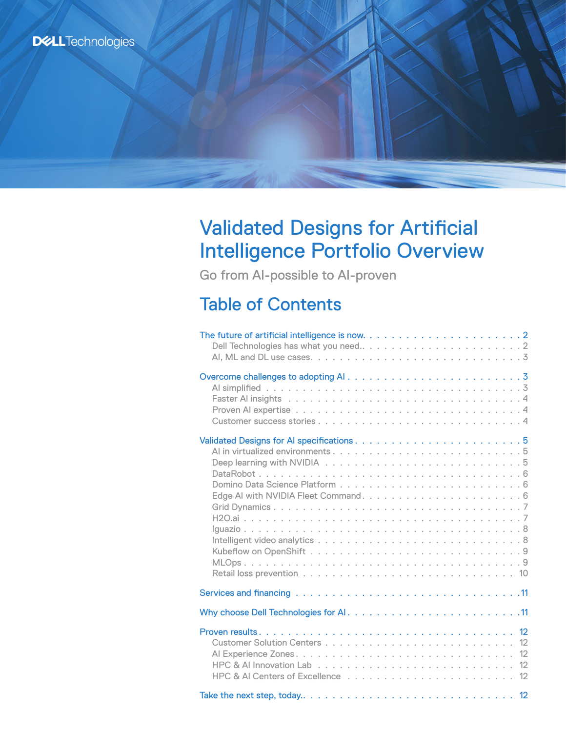# **DELL**Technologies

# Validated Designs for Artificial Intelligence Portfolio Overview

Go from AI-possible to AI-proven

# Table of Contents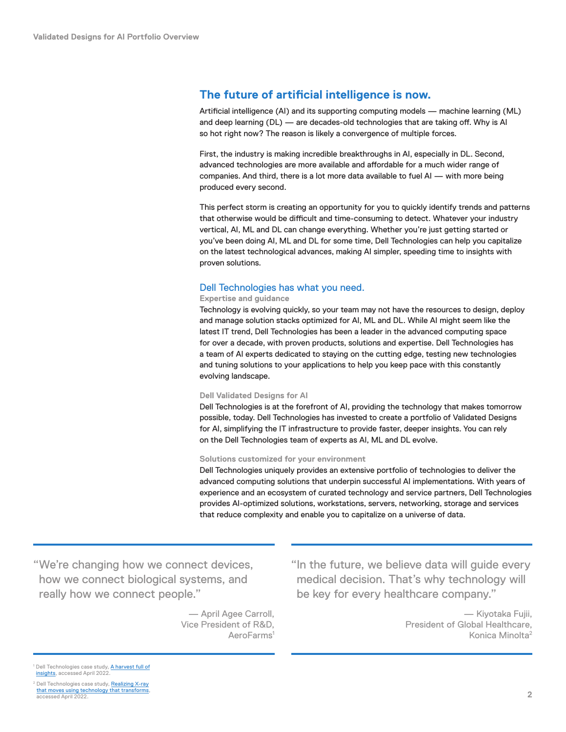# <span id="page-1-0"></span>**The future of artificial intelligence is now.**

Artificial intelligence (AI) and its supporting computing models — machine learning (ML) and deep learning (DL) — are decades-old technologies that are taking off. Why is Al so hot right now? The reason is likely a convergence of multiple forces.

First, the industry is making incredible breakthroughs in AI, especially in DL. Second, advanced technologies are more available and affordable for a much wider range of companies. And third, there is a lot more data available to fuel AI — with more being produced every second.

This perfect storm is creating an opportunity for you to quickly identify trends and patterns that otherwise would be difficult and time-consuming to detect. Whatever your industry vertical, AI, ML and DL can change everything. Whether you're just getting started or you've been doing AI, ML and DL for some time, Dell Technologies can help you capitalize on the latest technological advances, making AI simpler, speeding time to insights with proven solutions.

#### Dell Technologies has what you need.

#### **Expertise and guidance**

Technology is evolving quickly, so your team may not have the resources to design, deploy and manage solution stacks optimized for AI, ML and DL. While AI might seem like the latest IT trend, Dell Technologies has been a leader in the advanced computing space for over a decade, with proven products, solutions and expertise. Dell Technologies has a team of AI experts dedicated to staying on the cutting edge, testing new technologies and tuning solutions to your applications to help you keep pace with this constantly evolving landscape.

#### **Dell Validated Designs for AI**

Dell Technologies is at the forefront of AI, providing the technology that makes tomorrow possible, today. Dell Technologies has invested to create a portfolio of Validated Designs for AI, simplifying the IT infrastructure to provide faster, deeper insights. You can rely on the Dell Technologies team of experts as AI, ML and DL evolve.

#### **Solutions customized for your environment**

Dell Technologies uniquely provides an extensive portfolio of technologies to deliver the advanced computing solutions that underpin successful AI implementations. With years of experience and an ecosystem of curated technology and service partners, Dell Technologies provides AI‑optimized solutions, workstations, servers, networking, storage and services that reduce complexity and enable you to capitalize on a universe of data.

"We're changing how we connect devices, how we connect biological systems, and really how we connect people."

> — April Agee Carroll, Vice President of R&D, AeroFarms<sup>1</sup>

"In the future, we believe data will guide every medical decision. That's why technology will be key for every healthcare company."

> — Kiyotaka Fujii, President of Global Healthcare, Konica Minolta2

Dell Technologies case study, <mark>[A harvest full of](https://www.delltechnologies.com/en-us/customer-stories/aerofarms.htm)</mark> [insights](https://www.delltechnologies.com/en-us/customer-stories/aerofarms.htm), accessed April 2022

<sup>2</sup> Dell Technologies case study, Realizing X-ray [that moves using technology that transforms](https://www.delltechnologies.com/en-us/case-studies-customer-stories/konica-minolta-oem.htm#scroll=off&collapse) accessed April 2022.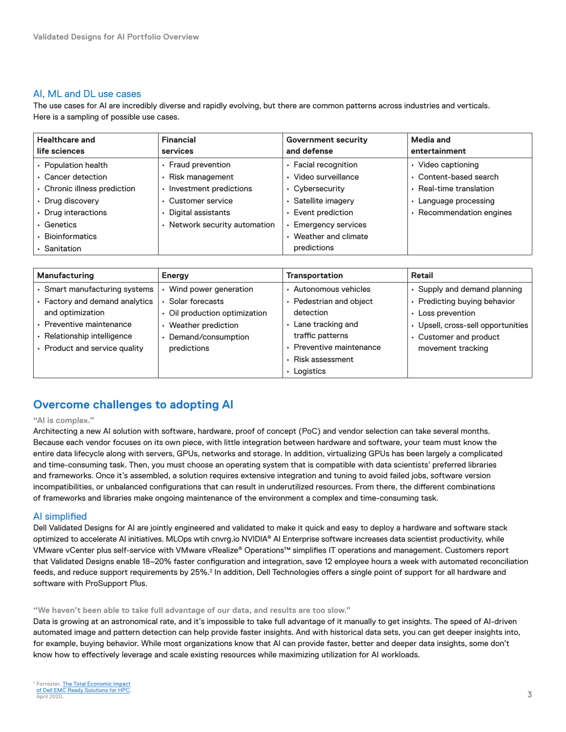### <span id="page-2-0"></span>AI, ML and DL use cases

The use cases for AI are incredibly diverse and rapidly evolving, but there are common patterns across industries and verticals. Here is a sampling of possible use cases.

| <b>Healthcare and</b><br>life sciences | <b>Financial</b><br><b>services</b> | <b>Government security</b><br>and defense | <b>Media and</b><br>entertainment |
|----------------------------------------|-------------------------------------|-------------------------------------------|-----------------------------------|
| • Population health                    | • Fraud prevention                  | • Facial recognition                      | • Video captioning                |
| • Cancer detection                     | • Risk management                   | · Video surveillance                      | • Content-based search            |
| • Chronic illness prediction           | Investment predictions              | • Cybersecurity                           | • Real-time translation           |
| • Drug discovery                       | • Customer service                  | · Satellite imagery                       | $\cdot$ Language processing       |
| • Drug interactions                    | • Digital assistants                | • Event prediction                        | • Recommendation engines          |
| • Genetics                             | • Network security automation       | • Emergency services                      |                                   |
| • Bioinformatics                       |                                     | • Weather and climate                     |                                   |
| $\cdot$ Sanitation                     |                                     | predictions                               |                                   |

| Manufacturing                  | Energy                        | <b>Transportation</b>    | Retail                             |
|--------------------------------|-------------------------------|--------------------------|------------------------------------|
| • Smart manufacturing systems  | Wind power generation         | • Autonomous vehicles    | • Supply and demand planning       |
| • Factory and demand analytics | Solar forecasts               | • Pedestrian and object  | • Predicting buying behavior       |
| and optimization               | • Oil production optimization | detection                | • Loss prevention                  |
| · Preventive maintenance       | Weather prediction            | • Lane tracking and      | • Upsell, cross-sell opportunities |
| • Relationship intelligence    | Demand/consumption<br>۰       | traffic patterns         | • Customer and product             |
| • Product and service quality  | predictions                   | • Preventive maintenance | movement tracking                  |
|                                |                               | • Risk assessment        |                                    |
|                                |                               | $\cdot$ Logistics        |                                    |

# **Overcome challenges to adopting AI**

#### **"AI is complex."**

Architecting a new AI solution with software, hardware, proof of concept (PoC) and vendor selection can take several months. Because each vendor focuses on its own piece, with little integration between hardware and software, your team must know the entire data lifecycle along with servers, GPUs, networks and storage. In addition, virtualizing GPUs has been largely a complicated and time-consuming task. Then, you must choose an operating system that is compatible with data scientists' preferred libraries and frameworks. Once it's assembled, a solution requires extensive integration and tuning to avoid failed jobs, software version incompatibilities, or unbalanced configurations that can result in underutilized resources. From there, the different combinations of frameworks and libraries make ongoing maintenance of the environment a complex and time-consuming task.

#### AI simplified

Dell Validated Designs for AI are jointly engineered and validated to make it quick and easy to deploy a hardware and software stack optimized to accelerate AI initiatives. MLOps wtih cnvrg.io NVIDIA® AI Enterprise software increases data scientist productivity, while VMware vCenter plus self‑service with VMware vRealize® Operations™ simplifies IT operations and management. Customers report that Validated Designs enable 18–20% faster configuration and integration, save 12 employee hours a week with automated reconciliation feeds, and reduce support requirements by 25%.<sup>3</sup> In addition, Dell Technologies offers a single point of support for all hardware and software with ProSupport Plus.

#### **"We haven't been able to take full advantage of our data, and results are too slow."**

Data is growing at an astronomical rate, and it's impossible to take full advantage of it manually to get insights. The speed of AI-driven automated image and pattern detection can help provide faster insights. And with historical data sets, you can get deeper insights into, for example, buying behavior. While most organizations know that AI can provide faster, better and deeper data insights, some don't know how to effectively leverage and scale existing resources while maximizing utilization for AI workloads.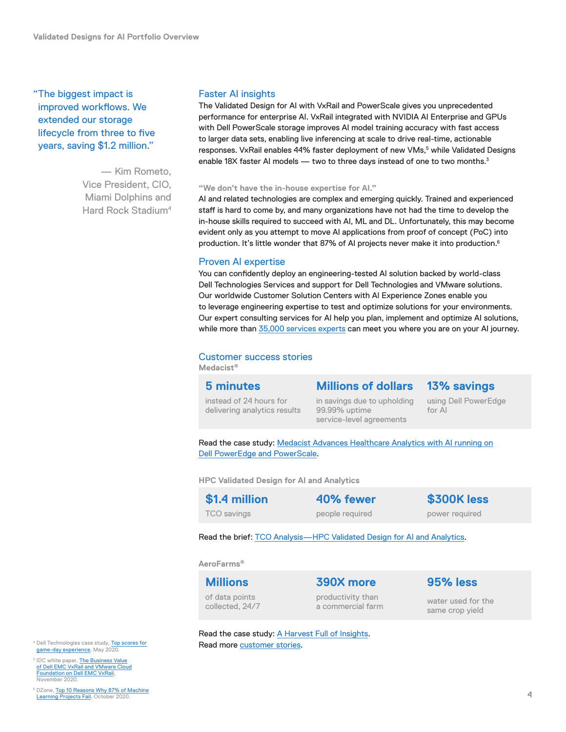<span id="page-3-0"></span>"The biggest impact is improved workflows. We extended our storage lifecycle from three to five years, saving \$1.2 million."

> — Kim Rometo, Vice President, CIO, Miami Dolphins and Hard Rock Stadium4

#### Faster AI insights

The Validated Design for AI with VxRail and PowerScale gives you unprecedented performance for enterprise AI. VxRail integrated with NVIDIA AI Enterprise and GPUs with Dell PowerScale storage improves AI model training accuracy with fast access to larger data sets, enabling live inferencing at scale to drive real-time, actionable responses. VxRail enables 44% faster deployment of new VMs,<sup>5</sup> while Validated Designs enable 18X faster AI models — two to three days instead of one to two months.<sup>3</sup>

#### **"We don't have the in‑house expertise for AI."**

AI and related technologies are complex and emerging quickly. Trained and experienced staff is hard to come by, and many organizations have not had the time to develop the in-house skills required to succeed with AI, ML and DL. Unfortunately, this may become evident only as you attempt to move AI applications from proof of concept (PoC) into production. It's little wonder that 87% of AI projects never make it into production.<sup>6</sup>

#### Proven AI expertise

You can confidently deploy an engineering-tested AI solution backed by world-class Dell Technologies Services and support for Dell Technologies and VMware solutions. Our worldwide Customer Solution Centers with AI Experience Zones enable you to leverage engineering expertise to test and optimize solutions for your environments. Our expert consulting services for AI help you plan, implement and optimize AI solutions, while more than [35,000 services experts](https://www.delltechnologies.com/asset/en-us/solutions/business-solutions/briefs-summaries/key_facts_about_dell_technologies.pdf) can meet you where you are on your AI journey.

#### Customer success stories

**Medacist®**

**5 minutes**

# **Millions of dollars**

# **13% savings**

instead of 24 hours for delivering analytics results in savings due to upholding 99.99% uptime service-level agreements

using Dell PowerEdge for AI

Read the case study: [Medacist Advances Healthcare Analytics with AI running on](https://www.delltechnologies.com/en-us/collaterals/unauth/customer-profiles-case-studies/solutions/medacist-written-case-study.pdf) [Dell PowerEdge and PowerScale.](https://www.delltechnologies.com/en-us/collaterals/unauth/customer-profiles-case-studies/solutions/medacist-written-case-study.pdf)

**HPC Validated Design for AI and Analytics**

**\$1.4 million** TCO savings

**40% fewer** people required

**\$300K less** power required

Read the brief: [TCO Analysis—HPC Validated Design for AI and Analytics](https://infohub.delltechnologies.com/section-assets/h18136-tco-analysis-dell-emc-hpc-ra-for-ai-da-sb).

#### **AeroFarms®**

**Millions** of data points collected, 24/7

**390X more** productivity than a commercial farm

water used for the same crop yield

**95% less** 

Read the case study: [A Harvest Full of Insights](https://www.delltechnologies.com/en-us/customer-stories/aerofarms.htm). 4 Dell Technologies case study, [Top scores for](https://www.delltechnologies.com/asset/en-ca/products/storage/customer-stories-case-studies/delltechnologies-casestudy-miamidolphins.pdf) **Read more [customer stories](https://delltechnologies.com/customerstories).** 

- game-day experience, May 2020.
- <sup>5</sup> IDC white paper, [The Business Value](https://www.delltechnologies.com/asset/en-us/products/converged-infrastructure/industry-market/idc-white-paper-the-business-value-of-dell-emc-vxrail-and-vmware-cloud-foundation-on-dell-emc-vxrail.pdf) [of Dell EMC VxRail and VMware Cloud](https://www.delltechnologies.com/asset/en-us/products/converged-infrastructure/industry-market/idc-white-paper-the-business-value-of-dell-emc-vxrail-and-vmware-cloud-foundation-on-dell-emc-vxrail.pdf) [Foundation on Dell EMC VxRail](https://www.delltechnologies.com/asset/en-us/products/converged-infrastructure/industry-market/idc-white-paper-the-business-value-of-dell-emc-vxrail-and-vmware-cloud-foundation-on-dell-emc-vxrail.pdf), November 2020.

<sup>6</sup> DZone, [Top 10 Reasons Why 87% of Machine](https://dzone.com/articles/top-10-reasons-why-87-of-the-machine-learning-proj) [Learning Projects Fail](https://dzone.com/articles/top-10-reasons-why-87-of-the-machine-learning-proj), October 2020.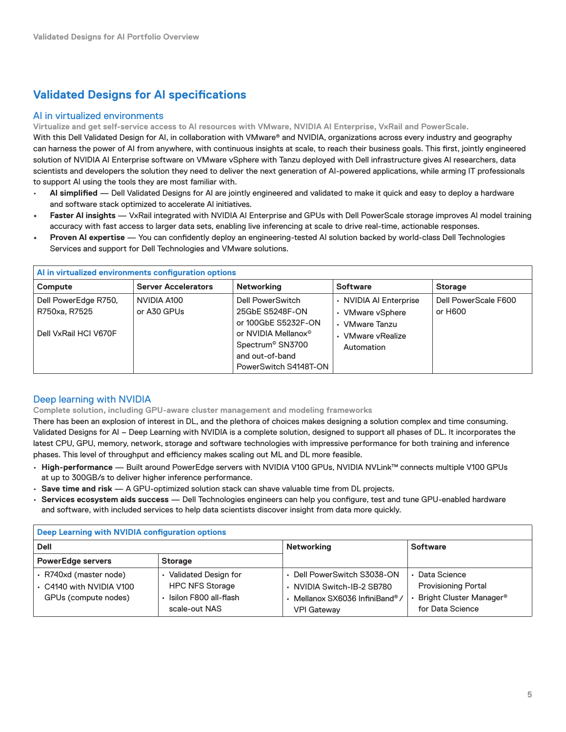# <span id="page-4-0"></span>**Validated Designs for AI specifications**

### AI in virtualized environments

**Virtualize and get self‑service access to AI resources with VMware, NVIDIA AI Enterprise, VxRail and PowerScale.**

With this Dell Validated Design for AI, in collaboration with VMware® and NVIDIA, organizations across every industry and geography can harness the power of AI from anywhere, with continuous insights at scale, to reach their business goals. This first, jointly engineered solution of NVIDIA AI Enterprise software on VMware vSphere with Tanzu deployed with Dell infrastructure gives AI researchers, data scientists and developers the solution they need to deliver the next generation of AI-powered applications, while arming IT professionals to support AI using the tools they are most familiar with.

- **AI simplified**  Dell Validated Designs for AI are jointly engineered and validated to make it quick and easy to deploy a hardware and software stack optimized to accelerate AI initiatives.
- **• Faster AI insights** VxRail integrated with NVIDIA AI Enterprise and GPUs with Dell PowerScale storage improves AI model training accuracy with fast access to larger data sets, enabling live inferencing at scale to drive real-time, actionable responses.
- **Proven AI expertise** You can confidently deploy an engineering-tested AI solution backed by world-class Dell Technologies Services and support for Dell Technologies and VMware solutions.

| Al in virtualized environments configuration options           |                            |                                                                                                                                                                           |                                                                                                 |                                 |
|----------------------------------------------------------------|----------------------------|---------------------------------------------------------------------------------------------------------------------------------------------------------------------------|-------------------------------------------------------------------------------------------------|---------------------------------|
| Compute                                                        | <b>Server Accelerators</b> | <b>Networking</b>                                                                                                                                                         | <b>Software</b>                                                                                 | <b>Storage</b>                  |
| Dell PowerEdge R750,<br>R750xa, R7525<br>Dell VxRail HCI V670F | NVIDIA A100<br>or A30 GPUs | Dell PowerSwitch<br>25GbE S5248F-ON<br>or 100GbE S5232F-ON<br>or NVIDIA Mellanox <sup>®</sup><br>Spectrum <sup>®</sup> SN3700<br>and out-of-band<br>PowerSwitch S4148T-ON | • NVIDIA AI Enterprise<br>• VMware vSphere<br>• VMware Tanzu<br>• VMware vRealize<br>Automation | Dell PowerScale F600<br>or H600 |

# Deep learning with NVIDIA

**Complete solution, including GPU‑aware cluster management and modeling frameworks**

There has been an explosion of interest in DL, and the plethora of choices makes designing a solution complex and time consuming. Validated Designs for AI – Deep Learning with NVIDIA is a complete solution, designed to support all phases of DL. It incorporates the latest CPU, GPU, memory, network, storage and software technologies with impressive performance for both training and inference phases. This level of throughput and efficiency makes scaling out ML and DL more feasible.

- **High‑performance** Built around PowerEdge servers with NVIDIA V100 GPUs, NVIDIA NVLink™ connects multiple V100 GPUs at up to 300GB/s to deliver higher inference performance.
- **Save time and risk** A GPU‑optimized solution stack can shave valuable time from DL projects.
- **Services ecosystem aids success** Dell Technologies engineers can help you configure, test and tune GPU‑enabled hardware and software, with included services to help data scientists discover insight from data more quickly.

| Deep Learning with NVIDIA configuration options                            |                                                                                          |                                                                                                                  |                                                                                                               |  |
|----------------------------------------------------------------------------|------------------------------------------------------------------------------------------|------------------------------------------------------------------------------------------------------------------|---------------------------------------------------------------------------------------------------------------|--|
| <b>Dell</b>                                                                |                                                                                          | Networking                                                                                                       | <b>Software</b>                                                                                               |  |
| <b>PowerEdge servers</b>                                                   | <b>Storage</b>                                                                           |                                                                                                                  |                                                                                                               |  |
| · R740xd (master node)<br>+ C4140 with NVIDIA V100<br>GPUs (compute nodes) | Validated Design for<br><b>HPC NFS Storage</b><br>Isilon F800 all-flash<br>scale-out NAS | • Dell PowerSwitch S3038-ON<br>· NVIDIA Switch-IB-2 SB780<br>· Mellanox SX6036 InfiniBand®<br><b>VPI Gateway</b> | $\cdot$ Data Science<br><b>Provisioning Portal</b><br>Bright Cluster Manager <sup>®</sup><br>for Data Science |  |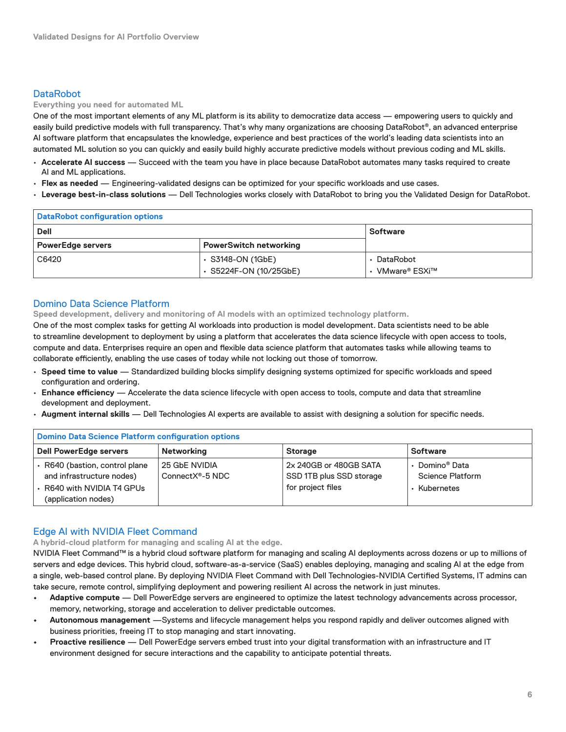# <span id="page-5-0"></span>**DataRobot**

**Everything you need for automated ML**

One of the most important elements of any ML platform is its ability to democratize data access — empowering users to quickly and easily build predictive models with full transparency. That's why many organizations are choosing DataRobot®, an advanced enterprise AI software platform that encapsulates the knowledge, experience and best practices of the world's leading data scientists into an automated ML solution so you can quickly and easily build highly accurate predictive models without previous coding and ML skills.

- **Accelerate AI success** Succeed with the team you have in place because DataRobot automates many tasks required to create AI and ML applications.
- **Flex as needed** Engineering‑validated designs can be optimized for your specific workloads and use cases.
- **Leverage best‑in‑class solutions** Dell Technologies works closely with DataRobot to bring you the Validated Design for DataRobot.

| <b>DataRobot configuration options</b> |                               |               |  |  |
|----------------------------------------|-------------------------------|---------------|--|--|
| <b>Dell</b><br><b>Software</b>         |                               |               |  |  |
| <b>PowerEdge servers</b>               | <b>PowerSwitch networking</b> |               |  |  |
| C6420                                  | $\cdot$ S3148-ON (1GbE)       | DataRobot     |  |  |
|                                        | ⋅ S5224F-ON (10/25GbE)        | VMware® ESXi™ |  |  |

#### Domino Data Science Platform

**Speed development, delivery and monitoring of AI models with an optimized technology platform.**

One of the most complex tasks for getting AI workloads into production is model development. Data scientists need to be able to streamline development to deployment by using a platform that accelerates the data science lifecycle with open access to tools, compute and data. Enterprises require an open and flexible data science platform that automates tasks while allowing teams to collaborate efficiently, enabling the use cases of today while not locking out those of tomorrow.

- **Speed time to value** Standardized building blocks simplify designing systems optimized for specific workloads and speed configuration and ordering.
- **Enhance efficiency** Accelerate the data science lifecycle with open access to tools, compute and data that streamline development and deployment.
- **Augment internal skills** Dell Technologies AI experts are available to assist with designing a solution for specific needs.

| <b>Domino Data Science Platform configuration options</b>                                                        |                                               |                                                                         |                                                         |  |
|------------------------------------------------------------------------------------------------------------------|-----------------------------------------------|-------------------------------------------------------------------------|---------------------------------------------------------|--|
| <b>Dell PowerEdge servers</b>                                                                                    | Networking                                    | <b>Storage</b>                                                          | <b>Software</b>                                         |  |
| ↑ R640 (bastion, control plane<br>and infrastructure nodes)<br>• R640 with NVIDIA T4 GPUs<br>(application nodes) | 25 GbE NVIDIA<br>ConnectX <sup>®</sup> -5 NDC | 2x 240GB or 480GB SATA<br>SSD 1TB plus SSD storage<br>for project files | Domino® Data<br><b>Science Platform</b><br>• Kubernetes |  |

# Edge AI with NVIDIA Fleet Command

**A hybrid‑cloud platform for managing and scaling AI at the edge.**

NVIDIA Fleet Command™ is a hybrid cloud software platform for managing and scaling AI deployments across dozens or up to millions of servers and edge devices. This hybrid cloud, software-as-a-service (SaaS) enables deploying, managing and scaling AI at the edge from a single, web-based control plane. By deploying NVIDIA Fleet Command with Dell Technologies-NVIDIA Certified Systems, IT admins can take secure, remote control, simplifying deployment and powering resilient AI across the network in just minutes.

- **• Adaptive compute** Dell PowerEdge servers are engineered to optimize the latest technology advancements across processor, memory, networking, storage and acceleration to deliver predictable outcomes.
- **• Autonomous management** —Systems and lifecycle management helps you respond rapidly and deliver outcomes aligned with business priorities, freeing IT to stop managing and start innovating.
- **• Proactive resilience**  Dell PowerEdge servers embed trust into your digital transformation with an infrastructure and IT environment designed for secure interactions and the capability to anticipate potential threats.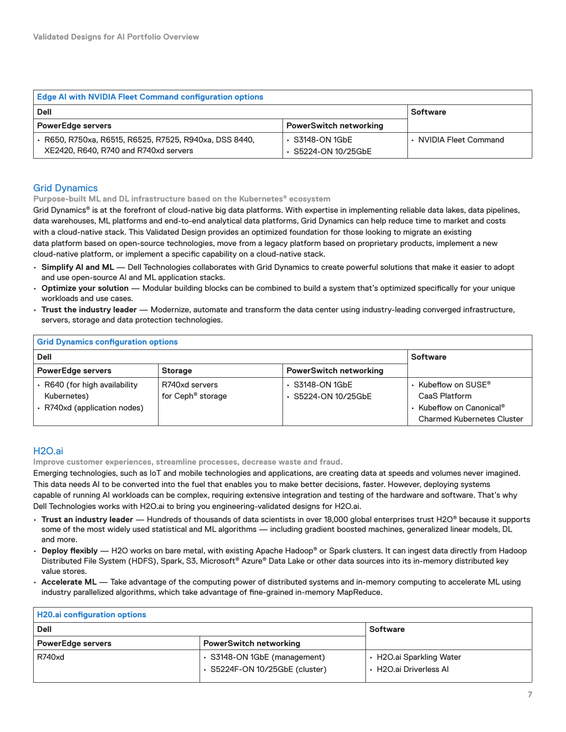<span id="page-6-0"></span>

| <b>Edge AI with NVIDIA Fleet Command configuration options</b>                                  |                                              |                        |  |  |
|-------------------------------------------------------------------------------------------------|----------------------------------------------|------------------------|--|--|
| <b>Dell</b>                                                                                     | <b>Software</b>                              |                        |  |  |
| <b>PowerEdge servers</b>                                                                        | <b>PowerSwitch networking</b>                |                        |  |  |
| • R650, R750xa, R6515, R6525, R7525, R940xa, DSS 8440,<br>XE2420, R640, R740 and R740xd servers | $\cdot$ S3148-ON 1GbE<br>⋅ S5224-ON 10/25GbE | • NVIDIA Fleet Command |  |  |

# Grid Dynamics

**Purpose‑built ML and DL infrastructure based on the Kubernetes® ecosystem**

Grid Dynamics<sup>®</sup> is at the forefront of cloud-native big data platforms. With expertise in implementing reliable data lakes, data pipelines, data warehouses, ML platforms and end-to-end analytical data platforms, Grid Dynamics can help reduce time to market and costs with a cloud-native stack. This Validated Design provides an optimized foundation for those looking to migrate an existing data platform based on open-source technologies, move from a legacy platform based on proprietary products, implement a new cloud-native platform, or implement a specific capability on a cloud-native stack.

- **Simplify AI and ML** Dell Technologies collaborates with Grid Dynamics to create powerful solutions that make it easier to adopt and use open‑source AI and ML application stacks.
- **Optimize your solution** Modular building blocks can be combined to build a system that's optimized specifically for your unique workloads and use cases.
- **Trust the industry leader** Modernize, automate and transform the data center using industry‑leading converged infrastructure, servers, storage and data protection technologies.

| <b>Grid Dynamics configuration options</b>                                   |                                                 |                                                    |                                                                                                                         |  |
|------------------------------------------------------------------------------|-------------------------------------------------|----------------------------------------------------|-------------------------------------------------------------------------------------------------------------------------|--|
| <b>Dell</b>                                                                  |                                                 |                                                    | <b>Software</b>                                                                                                         |  |
| <b>PowerEdge servers</b>                                                     |                                                 |                                                    |                                                                                                                         |  |
| ← R640 (for high availability<br>Kubernetes)<br>• R740xd (application nodes) | R740xd servers<br>for Ceph <sup>®</sup> storage | $\cdot$ S3148-ON 1GbE<br>$\cdot$ S5224-ON 10/25GbE | $\cdot$ Kubeflow on SUSE®<br>CaaS Platform<br>• Kubeflow on Canonical <sup>®</sup><br><b>Charmed Kubernetes Cluster</b> |  |

# H2O.ai

**Improve customer experiences, streamline processes, decrease waste and fraud.**

Emerging technologies, such as IoT and mobile technologies and applications, are creating data at speeds and volumes never imagined. This data needs AI to be converted into the fuel that enables you to make better decisions, faster. However, deploying systems capable of running AI workloads can be complex, requiring extensive integration and testing of the hardware and software. That's why Dell Technologies works with H2O.ai to bring you engineering-validated designs for H2O.ai.

- **Trust an industry leader** Hundreds of thousands of data scientists in over 18,000 global enterprises trust H2O® because it supports some of the most widely used statistical and ML algorithms — including gradient boosted machines, generalized linear models, DL and more.
- **Deploy flexibly** H2O works on bare metal, with existing Apache Hadoop® or Spark clusters. It can ingest data directly from Hadoop Distributed File System (HDFS), Spark, S3, Microsoft® Azure® Data Lake or other data sources into its in‑memory distributed key value stores.
- **Accelerate ML** Take advantage of the computing power of distributed systems and in‑memory computing to accelerate ML using industry parallelized algorithms, which take advantage of fine‑grained in‑memory MapReduce.

| <b>H20.ai configuration options</b> |                                                                |                                                    |  |  |
|-------------------------------------|----------------------------------------------------------------|----------------------------------------------------|--|--|
| <b>Dell</b><br><b>Software</b>      |                                                                |                                                    |  |  |
| <b>PowerEdge servers</b>            | <b>PowerSwitch networking</b>                                  |                                                    |  |  |
| <b>R740xd</b>                       | • S3148-ON 1GbE (management)<br>⋅ S5224F-ON 10/25GbE (cluster) | ← H2O.ai Sparkling Water<br>• H2O.ai Driverless Al |  |  |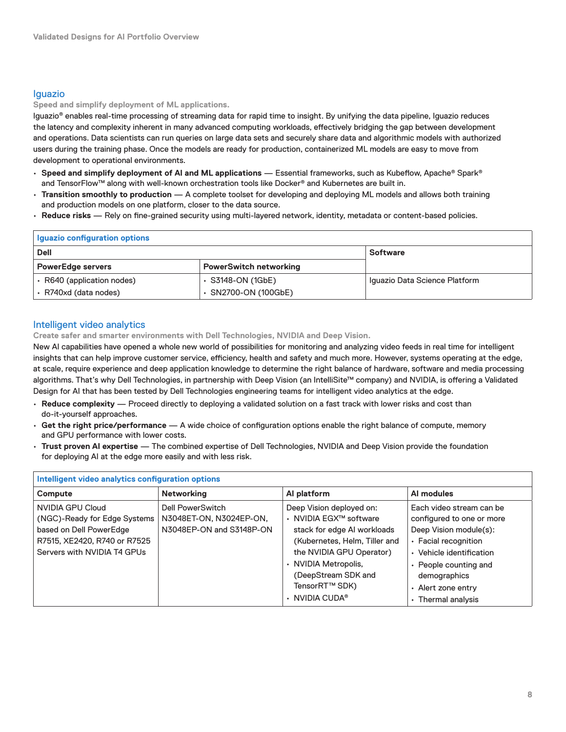## <span id="page-7-0"></span>Iguazio

**Speed and simplify deployment of ML applications.**

Iguazio® enables real-time processing of streaming data for rapid time to insight. By unifying the data pipeline, Iguazio reduces the latency and complexity inherent in many advanced computing workloads, effectively bridging the gap between development and operations. Data scientists can run queries on large data sets and securely share data and algorithmic models with authorized users during the training phase. Once the models are ready for production, containerized ML models are easy to move from development to operational environments.

- **Speed and simplify deployment of AI and ML applications** Essential frameworks, such as Kubeflow, Apache® Spark® and TensorFlow™ along with well-known orchestration tools like Docker® and Kubernetes are built in.
- **Transition smoothly to production** A complete toolset for developing and deploying ML models and allows both training and production models on one platform, closer to the data source.
- **Reduce risks** Rely on fine‑grained security using multi‑layered network, identity, metadata or content‑based policies.

| Iguazio configuration options  |                               |                               |  |  |
|--------------------------------|-------------------------------|-------------------------------|--|--|
| <b>Dell</b><br><b>Software</b> |                               |                               |  |  |
| <b>PowerEdge servers</b>       | <b>PowerSwitch networking</b> |                               |  |  |
| ⋅ R640 (application nodes)     | $\cdot$ S3148-ON (1GbE)       | Iguazio Data Science Platform |  |  |
| · R740xd (data nodes)          | ⋅ SN2700-ON (100GbE)          |                               |  |  |

# Intelligent video analytics

**Create safer and smarter environments with Dell Technologies, NVIDIA and Deep Vision.**

New AI capabilities have opened a whole new world of possibilities for monitoring and analyzing video feeds in real time for intelligent insights that can help improve customer service, efficiency, health and safety and much more. However, systems operating at the edge, at scale, require experience and deep application knowledge to determine the right balance of hardware, software and media processing algorithms. That's why Dell Technologies, in partnership with Deep Vision (an IntelliSite™ company) and NVIDIA, is offering a Validated Design for AI that has been tested by Dell Technologies engineering teams for intelligent video analytics at the edge.

- **Reduce complexity** Proceed directly to deploying a validated solution on a fast track with lower risks and cost than do‑it‑yourself approaches.
- **Get the right price/performance** A wide choice of configuration options enable the right balance of compute, memory and GPU performance with lower costs.
- **Trust proven AI expertise** The combined expertise of Dell Technologies, NVIDIA and Deep Vision provide the foundation for deploying AI at the edge more easily and with less risk.

| Intelligent video analytics configuration options                                                                                          |                                                                                |                                                                                                                                                                                                                                                     |                                                                                                                                                                                                                        |  |
|--------------------------------------------------------------------------------------------------------------------------------------------|--------------------------------------------------------------------------------|-----------------------------------------------------------------------------------------------------------------------------------------------------------------------------------------------------------------------------------------------------|------------------------------------------------------------------------------------------------------------------------------------------------------------------------------------------------------------------------|--|
| Compute                                                                                                                                    | <b>Networking</b>                                                              | Al platform                                                                                                                                                                                                                                         | Al modules                                                                                                                                                                                                             |  |
| NVIDIA GPU Cloud<br>(NGC)-Ready for Edge Systems<br>based on Dell PowerEdge<br>R7515, XE2420, R740 or R7525<br>Servers with NVIDIA T4 GPUs | <b>Dell PowerSwitch</b><br>N3048ET-ON, N3024EP-ON,<br>N3048EP-ON and S3148P-ON | Deep Vision deployed on:<br>• NVIDIA EGX™ software<br>stack for edge AI workloads<br>(Kubernetes, Helm, Tiller and<br>the NVIDIA GPU Operator)<br>• NVIDIA Metropolis,<br>(DeepStream SDK and<br>TensorRT™ SDK)<br>$\cdot$ NVIDIA CUDA <sup>®</sup> | Each video stream can be<br>configured to one or more<br>Deep Vision module(s):<br>• Facial recognition<br>• Vehicle identification<br>• People counting and<br>demographics<br>• Alert zone entry<br>Thermal analysis |  |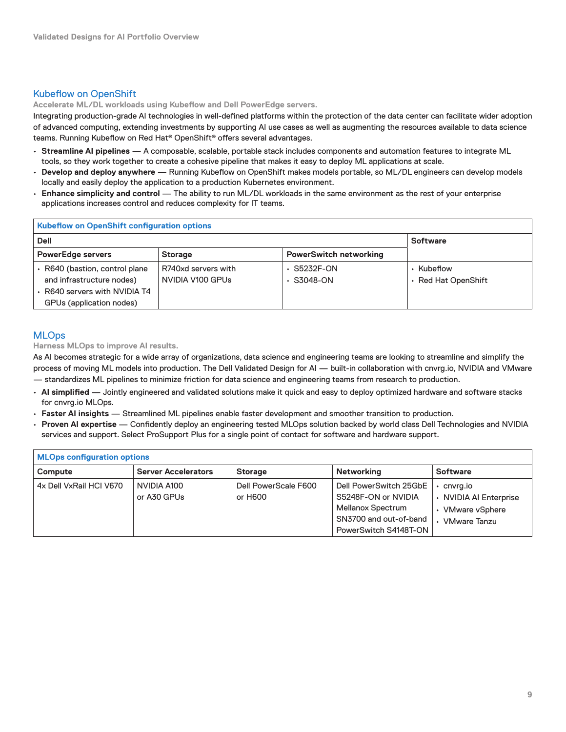## <span id="page-8-0"></span>Kubeflow on OpenShift

**Accelerate ML/DL workloads using Kubeflow and Dell PowerEdge servers.**

Integrating production‑grade AI technologies in well‑defined platforms within the protection of the data center can facilitate wider adoption of advanced computing, extending investments by supporting AI use cases as well as augmenting the resources available to data science teams. Running Kubeflow on Red Hat® OpenShift® offers several advantages.

- **Streamline AI pipelines** A composable, scalable, portable stack includes components and automation features to integrate ML tools, so they work together to create a cohesive pipeline that makes it easy to deploy ML applications at scale.
- **Develop and deploy anywhere** Running Kubeflow on OpenShift makes models portable, so ML/DL engineers can develop models locally and easily deploy the application to a production Kubernetes environment.
- **Enhance simplicity and control** The ability to run ML/DL workloads in the same environment as the rest of your enterprise applications increases control and reduces complexity for IT teams.

# **Kubeflow on OpenShift configuration options**

| Dell                                                                                                                 | <b>Software</b>                         |                                       |                                      |
|----------------------------------------------------------------------------------------------------------------------|-----------------------------------------|---------------------------------------|--------------------------------------|
| <b>PowerEdge servers</b>                                                                                             | <b>Storage</b>                          | <b>PowerSwitch networking</b>         |                                      |
| R640 (bastion, control plane<br>and infrastructure nodes)<br>R640 servers with NVIDIA T4<br>GPUs (application nodes) | R740xd servers with<br>NVIDIA V100 GPUS | $\cdot$ S5232F-ON<br>$\cdot$ S3048-ON | Kubeflow<br><b>Red Hat OpenShift</b> |

### **MLOps**

**Harness MLOps to improve AI results.**

As AI becomes strategic for a wide array of organizations, data science and engineering teams are looking to streamline and simplify the process of moving ML models into production. The Dell Validated Design for AI — built-in collaboration with cnvrg.io, NVIDIA and VMware — standardizes ML pipelines to minimize friction for data science and engineering teams from research to production.

- **AI simplified** Jointly engineered and validated solutions make it quick and easy to deploy optimized hardware and software stacks for cnvrg.io MLOps.
- **Faster AI insights** Streamlined ML pipelines enable faster development and smoother transition to production.
- **Proven AI expertise**  Confidently deploy an engineering tested MLOps solution backed by world class Dell Technologies and NVIDIA services and support. Select ProSupport Plus for a single point of contact for software and hardware support.

| <b>MLOps configuration options</b> |                            |                                 |                                                                                                                       |                                                                             |  |  |
|------------------------------------|----------------------------|---------------------------------|-----------------------------------------------------------------------------------------------------------------------|-----------------------------------------------------------------------------|--|--|
| <b>Compute</b>                     | <b>Server Accelerators</b> | <b>Storage</b>                  | Networking                                                                                                            | <b>Software</b>                                                             |  |  |
| 4x Dell VxRail HCI V670            | NVIDIA A100<br>or A30 GPUs | Dell PowerScale F600<br>or H600 | Dell PowerSwitch 25GbE<br>S5248F-ON or NVIDIA<br>Mellanox Spectrum<br>SN3700 and out-of-band<br>PowerSwitch S4148T-ON | cnvrg.io<br>• NVIDIA AI Enterprise<br>VMware vSphere<br><b>VMware Tanzu</b> |  |  |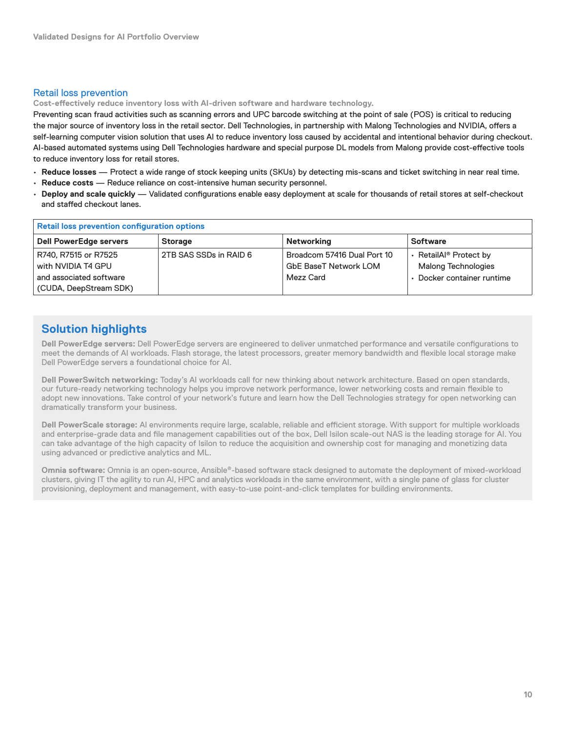#### <span id="page-9-0"></span>Retail loss prevention

**Cost‑effectively reduce inventory loss with AI‑driven software and hardware technology.**

Preventing scan fraud activities such as scanning errors and UPC barcode switching at the point of sale (POS) is critical to reducing the major source of inventory loss in the retail sector. Dell Technologies, in partnership with Malong Technologies and NVIDIA, offers a self-learning computer vision solution that uses AI to reduce inventory loss caused by accidental and intentional behavior during checkout. AI-based automated systems using Dell Technologies hardware and special purpose DL models from Malong provide cost-effective tools to reduce inventory loss for retail stores.

- **Reduce losses** Protect a wide range of stock keeping units (SKUs) by detecting mis‑scans and ticket switching in near real time.
- **Reduce costs** Reduce reliance on cost‑intensive human security personnel.
- **Deploy and scale quickly** Validated configurations enable easy deployment at scale for thousands of retail stores at self‑checkout and staffed checkout lanes.

| <b>Retail loss prevention configuration options</b> |                        |                                                             |                                                                  |  |  |  |
|-----------------------------------------------------|------------------------|-------------------------------------------------------------|------------------------------------------------------------------|--|--|--|
| <b>Dell PowerEdge servers</b>                       | <b>Storage</b>         | Networking                                                  | <b>Software</b>                                                  |  |  |  |
| R740, R7515 or R7525<br>with NVIDIA T4 GPU          | 2TB SAS SSDs in RAID 6 | Broadcom 57416 Dual Port 10<br><b>GbE BaseT Network LOM</b> | • RetailAl <sup>®</sup> Protect by<br><b>Malong Technologies</b> |  |  |  |
| and associated software<br>(CUDA, DeepStream SDK)   |                        | Mezz Card                                                   | • Docker container runtime                                       |  |  |  |

# **Solution highlights**

**Dell PowerEdge servers:** Dell PowerEdge servers are engineered to deliver unmatched performance and versatile configurations to meet the demands of AI workloads. Flash storage, the latest processors, greater memory bandwidth and flexible local storage make Dell PowerEdge servers a foundational choice for AI.

**Dell PowerSwitch networking:** Today's AI workloads call for new thinking about network architecture. Based on open standards, our future‑ready networking technology helps you improve network performance, lower networking costs and remain flexible to adopt new innovations. Take control of your network's future and learn how the Dell Technologies strategy for open networking can dramatically transform your business.

**Dell PowerScale storage:** AI environments require large, scalable, reliable and efficient storage. With support for multiple workloads and enterprise‑grade data and file management capabilities out of the box, Dell Isilon scale‑out NAS is the leading storage for AI. You can take advantage of the high capacity of Isilon to reduce the acquisition and ownership cost for managing and monetizing data using advanced or predictive analytics and ML.

**Omnia software:** Omnia is an open‑source, Ansible®‑based software stack designed to automate the deployment of mixed‑workload clusters, giving IT the agility to run AI, HPC and analytics workloads in the same environment, with a single pane of glass for cluster provisioning, deployment and management, with easy-to-use point-and-click templates for building environments.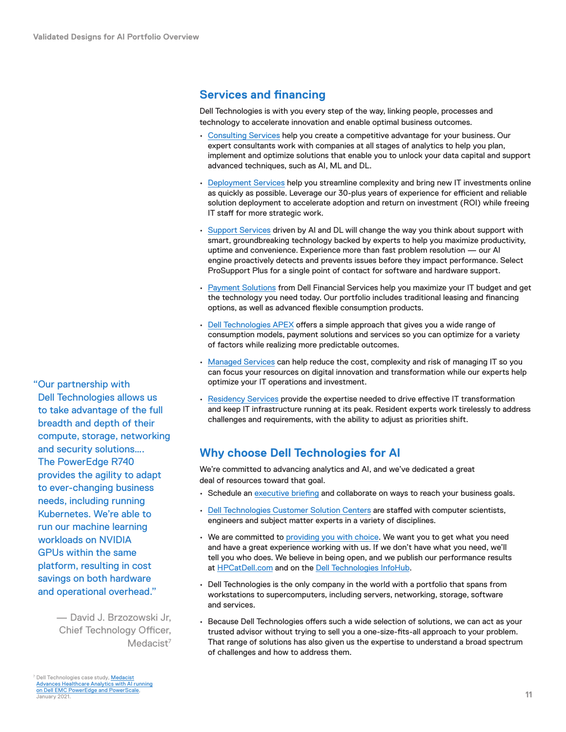<span id="page-10-0"></span>**Services and financing**

Dell Technologies is with you every step of the way, linking people, processes and technology to accelerate innovation and enable optimal business outcomes.

- [Consulting Services](https://www.delltechnologies.com/en-us/services/consulting-services/big-data.htm) help you create a competitive advantage for your business. Our expert consultants work with companies at all stages of analytics to help you plan, implement and optimize solutions that enable you to unlock your data capital and support advanced techniques, such as AI, ML and DL.
- [Deployment Services](https://www.delltechnologies.com/en-us/services/deployment-services/index.htm#scroll=off) help you streamline complexity and bring new IT investments online as quickly as possible. Leverage our 30‑plus years of experience for efficient and reliable solution deployment to accelerate adoption and return on investment (ROI) while freeing IT staff for more strategic work.
- [Support Services](https://www.delltechnologies.com/en-us/services/support-services/index.htm) driven by AI and DL will change the way you think about support with smart, groundbreaking technology backed by experts to help you maximize productivity, uptime and convenience. Experience more than fast problem resolution — our AI engine proactively detects and prevents issues before they impact performance. Select ProSupport Plus for a single point of contact for software and hardware support.
- [Payment Solutions](https://www.delltechnologies.com/en-us/payment-solutions/index.htm#scroll=off) from Dell Financial Services help you maximize your IT budget and get the technology you need today. Our portfolio includes traditional leasing and financing options, as well as advanced flexible consumption products.
- [Dell Technologies APEX](https://delltechnologies.com/apex) offers a simple approach that gives you a wide range of consumption models, payment solutions and services so you can optimize for a variety of factors while realizing more predictable outcomes.
- [Managed Services](https://www.delltechnologies.com/en-us/services/managed-services/index.htm) can help reduce the cost, complexity and risk of managing IT so you can focus your resources on digital innovation and transformation while our experts help optimize your IT operations and investment.
- [Residency Services](https://www.delltechnologies.com/en-us/services/deployment-services/residency-services.htm#scroll=off) provide the expertise needed to drive effective IT transformation and keep IT infrastructure running at its peak. Resident experts work tirelessly to address challenges and requirements, with the ability to adjust as priorities shift.

# **Why choose Dell Technologies for AI**

We're committed to advancing analytics and AI, and we've dedicated a great deal of resources toward that goal.

- Schedule an [executive briefing](https://www.delltechnologies.com/en-us/what-we-do/customer-engagement-programs/executive_briefing_program.htm) and collaborate on ways to reach your business goals.
- [Dell Technologies Customer Solution Centers](https://delltechnologies.com/csc) are staffed with computer scientists, engineers and subject matter experts in a variety of disciplines.
- We are committed to [providing you with choice.](https://www.delltechnologies.com/en-us/press/open-letter-to-customers-and-partners.htm) We want you to get what you need and have a great experience working with us. If we don't have what you need, we'll tell you who does. We believe in being open, and we publish our performance results at [HPCatDell.com](https://www.dell.com/support/kbdoc/en-ae/000178012/high-performance-computing) and on the [Dell Technologies InfoHub](https://infohub.delltechnologies.com/t/artificial-intelligence-12/).
- Dell Technologies is the only company in the world with a portfolio that spans from workstations to supercomputers, including servers, networking, storage, software and services.
- Because Dell Technologies offers such a wide selection of solutions, we can act as your trusted advisor without trying to sell you a one‑size‑fits‑all approach to your problem. That range of solutions has also given us the expertise to understand a broad spectrum of challenges and how to address them.

"Our partnership with Dell Technologies allows us to take advantage of the full breadth and depth of their compute, storage, networking and security solutions…. The PowerEdge R740 provides the agility to adapt to ever-changing business needs, including running Kubernetes. We're able to run our machine learning workloads on NVIDIA GPUs within the same platform, resulting in cost savings on both hardware and operational overhead."

> — David J. Brzozowski Jr, Chief Technology Officer, Medacist<sup>7</sup>